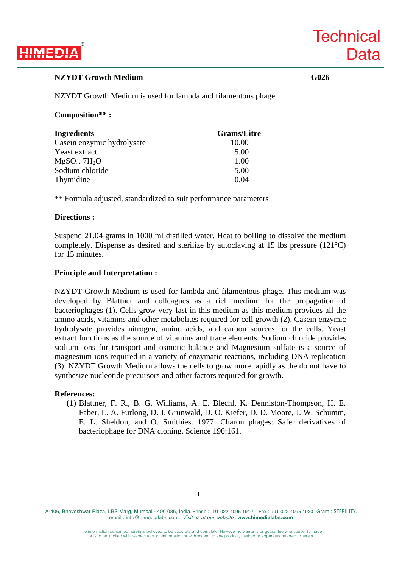

**Technical** 

**Data** 

NZYDT Growth Medium is used for lambda and filamentous phage.

## **Composition\*\* :**

| Ingredients                 | <b>Grams/Litre</b> |
|-----------------------------|--------------------|
| Casein enzymic hydrolysate  | 10.00              |
| Yeast extract               | 5.00               |
| $MgSO4$ . 7H <sub>2</sub> O | 1.00               |
| Sodium chloride             | 5.00               |
| Thymidine                   | 0.04               |

\*\* Formula adjusted, standardized to suit performance parameters

# **Directions :**

Suspend 21.04 grams in 1000 ml distilled water. Heat to boiling to dissolve the medium completely. Dispense as desired and sterilize by autoclaving at 15 lbs pressure (121°C) for 15 minutes.

# **Principle and Interpretation :**

NZYDT Growth Medium is used for lambda and filamentous phage. This medium was developed by Blattner and colleagues as a rich medium for the propagation of bacteriophages (1). Cells grow very fast in this medium as this medium provides all the amino acids, vitamins and other metabolites required for cell growth (2). Casein enzymic hydrolysate provides nitrogen, amino acids, and carbon sources for the cells. Yeast extract functions as the source of vitamins and trace elements. Sodium chloride provides sodium ions for transport and osmotic balance and Magnesium sulfate is a source of magnesium ions required in a variety of enzymatic reactions, including DNA replication (3). NZYDT Growth Medium allows the cells to grow more rapidly as the do not have to synthesize nucleotide precursors and other factors required for growth.

### **References:**

(1) Blattner, F. R., B. G. Williams, A. E. Blechl, K. Denniston-Thompson, H. E. Faber, L. A. Furlong, D. J. Grunwald, D. O. Kiefer, D. D. Moore, J. W. Schumm, E. L. Sheldon, and O. Smithies. 1977. Charon phages: Safer derivatives of bacteriophage for DNA cloning. Science 196:161.

A-406, Bhaveshwar Plaza, LBS Marg, Mumbai - 400 086, India. Phone : +91-022-4095 1919 Fax : +91-022-4095 1920 Gram : STERILITY. email : info@himedialabs.com. *Visit us at our website :* **www.himedialabs.com**